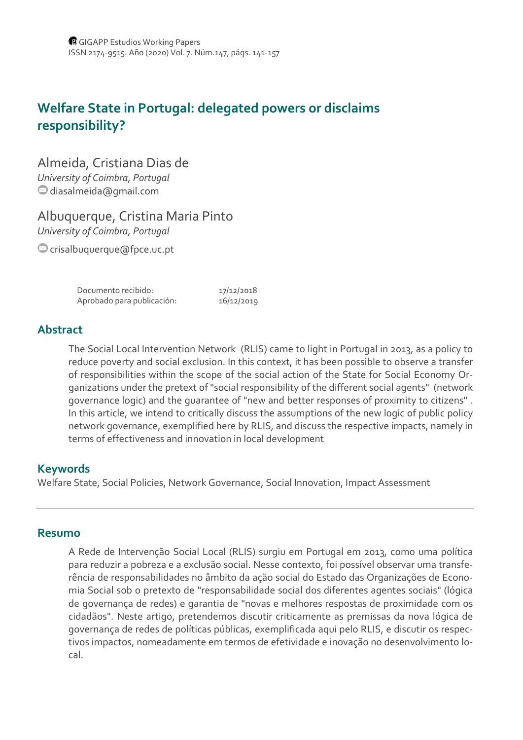# **Welfare State in Portugal: delegated powers or disclaims responsibility?**

## Almeida, Cristiana Dias de

*University of Coimbra, Portugal* diasalmeida@gmail.com

## Albuquerque, Cristina Maria Pinto

*University of Coimbra, Portugal*

crisalbuquerque@fpce.uc.pt

| Documento recibido:        | 17/12/2018 |
|----------------------------|------------|
| Aprobado para publicación: | 16/12/2019 |

## **Abstract**

The Social Local Intervention Network (RLIS) came to light in Portugal in 2013, as a policy to reduce poverty and social exclusion. In this context, it has been possible to observe a transfer of responsibilities within the scope of the social action of the State for Social Economy Or‐ ganizations under the pretext of "social responsibility of the different social agents" (network governance logic) and the guarantee of "new and better responses of proximity to citizens" . In this article, we intend to critically discuss the assumptions of the new logic of public policy network governance, exemplified here by RLIS, and discuss the respective impacts, namely in terms of effectiveness and innovation in local development

### **Keywords**

Welfare State, Social Policies, Network Governance, Social Innovation, Impact Assessment

#### **Resumo**

A Rede de Intervenção Social Local (RLIS) surgiu em Portugal em 2013, como uma política para reduzir a pobreza e a exclusão social. Nesse contexto, foi possível observar uma transfe‐ rência de responsabilidades no âmbito da ação social do Estado das Organizações de Econo‐ mia Social sob o pretexto de "responsabilidade social dos diferentes agentes sociais" (lógica de governança de redes) e garantia de "novas e melhores respostas de proximidade com os cidadãos". Neste artigo, pretendemos discutir criticamente as premissas da nova lógica de governança de redes de políticas públicas, exemplificada aqui pelo RLIS, e discutir os respec‐ tivos impactos, nomeadamente em termos de efetividade e inovação no desenvolvimento lo‐ cal.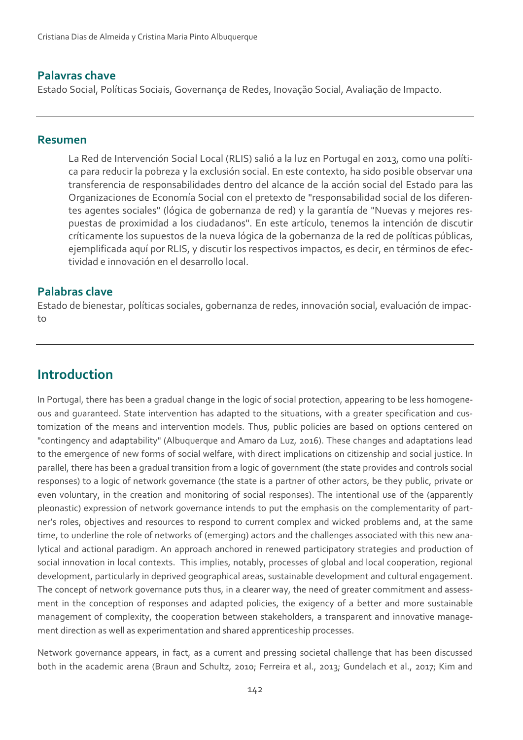#### **Palavras chave**

Estado Social, Políticas Sociais, Governança de Redes, Inovação Social, Avaliação de Impacto.

#### **Resumen**

La Red de Intervención Social Local (RLIS) salió a la luz en Portugal en 2013, como una políti‐ ca para reducir la pobreza y la exclusión social. En este contexto, ha sido posible observar una transferencia de responsabilidades dentro del alcance de la acción social del Estado para las Organizaciones de Economía Social con el pretexto de "responsabilidad social de los diferen‐ tes agentes sociales" (lógica de gobernanza de red) y la garantía de "Nuevas y mejores res‐ puestas de proximidad a los ciudadanos". En este artículo, tenemos la intención de discutir críticamente los supuestos de la nueva lógica de la gobernanza de la red de políticas públicas, ejemplificada aquí por RLIS, y discutir los respectivos impactos, es decir, en términos de efec‐ tividad e innovación en el desarrollo local.

#### **Palabras clave**

Estado de bienestar, políticas sociales, gobernanza de redes, innovación social, evaluación de impac‐ to

# **Introduction**

In Portugal, there has been a gradual change in the logic of social protection, appearing to be less homogene‐ ous and guaranteed. State intervention has adapted to the situations, with a greater specification and cus‐ tomization of the means and intervention models. Thus, public policies are based on options centered on "contingency and adaptability" (Albuquerque and Amaro da Luz, 2016). These changes and adaptations lead to the emergence of new forms of social welfare, with direct implications on citizenship and social justice. In parallel, there has been a gradual transition from a logic of government (the state provides and controls social responses) to a logic of network governance (the state is a partner of other actors, be they public, private or even voluntary, in the creation and monitoring of social responses). The intentional use of the (apparently pleonastic) expression of network governance intends to put the emphasis on the complementarity of partner's roles, objectives and resources to respond to current complex and wicked problems and, at the same time, to underline the role of networks of (emerging) actors and the challenges associated with this new analytical and actional paradigm. An approach anchored in renewed participatory strategies and production of social innovation in local contexts. This implies, notably, processes of global and local cooperation, regional development, particularly in deprived geographical areas, sustainable development and cultural engagement. The concept of network governance puts thus, in a clearer way, the need of greater commitment and assessment in the conception of responses and adapted policies, the exigency of a better and more sustainable management of complexity, the cooperation between stakeholders, a transparent and innovative manage‐ ment direction as well as experimentation and shared apprenticeship processes.

Network governance appears, in fact, as a current and pressing societal challenge that has been discussed both in the academic arena (Braun and Schultz, 2010; Ferreira et al., 2013; Gundelach et al., 2017; Kim and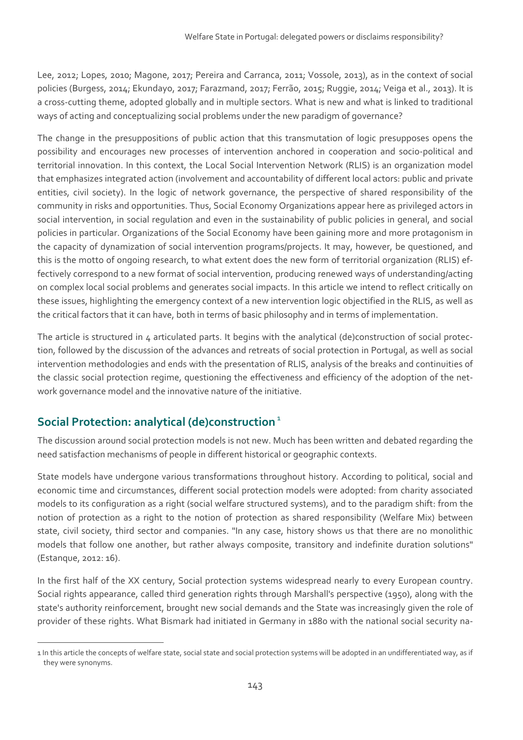Lee, 2012; Lopes, 2010; Magone, 2017; Pereira and Carranca, 2011; Vossole, 2013), as in the context of social policies (Burgess, 2014; Ekundayo, 2017; Farazmand, 2017; Ferrão, 2015; Ruggie, 2014; Veiga et al., 2013). It is a cross‐cutting theme, adopted globally and in multiple sectors. What is new and what is linked to traditional ways of acting and conceptualizing social problems under the new paradigm of governance?

The change in the presuppositions of public action that this transmutation of logic presupposes opens the possibility and encourages new processes of intervention anchored in cooperation and socio‐political and territorial innovation. In this context, the Local Social Intervention Network (RLIS) is an organization model that emphasizes integrated action (involvement and accountability of different local actors: public and private entities, civil society). In the logic of network governance, the perspective of shared responsibility of the community in risks and opportunities. Thus, Social Economy Organizations appear here as privileged actors in social intervention, in social regulation and even in the sustainability of public policies in general, and social policies in particular. Organizations of the Social Economy have been gaining more and more protagonism in the capacity of dynamization of social intervention programs/projects. It may, however, be questioned, and this is the motto of ongoing research, to what extent does the new form of territorial organization (RLIS) ef‐ fectively correspond to a new format of social intervention, producing renewed ways of understanding/acting on complex local social problems and generates social impacts. In this article we intend to reflect critically on these issues, highlighting the emergency context of a new intervention logic objectified in the RLIS, as well as the critical factors that it can have, both in terms of basic philosophy and in terms of implementation.

The article is structured in 4 articulated parts. It begins with the analytical (de)construction of social protection, followed by the discussion of the advances and retreats of social protection in Portugal, as well as social intervention methodologies and ends with the presentation of RLIS, analysis of the breaks and continuities of the classic social protection regime, questioning the effectiveness and efficiency of the adoption of the net‐ work governance model and the innovative nature of the initiative.

## **Social Protection: analytical (de)construction<sup>1</sup>**

The discussion around social protection models is not new. Much has been written and debated regarding the need satisfaction mechanisms of people in different historical or geographic contexts.

State models have undergone various transformations throughout history. According to political, social and economic time and circumstances, different social protection models were adopted: from charity associated models to its configuration as a right (social welfare structured systems), and to the paradigm shift: from the notion of protection as a right to the notion of protection as shared responsibility (Welfare Mix) between state, civil society, third sector and companies. "In any case, history shows us that there are no monolithic models that follow one another, but rather always composite, transitory and indefinite duration solutions" (Estanque, 2012: 16).

In the first half of the XX century, Social protection systems widespread nearly to every European country. Social rights appearance, called third generation rights through Marshall's perspective (1950), along with the state's authority reinforcement, brought new social demands and the State was increasingly given the role of provider of these rights. What Bismark had initiated in Germany in 1880 with the national social security na-

<sup>1</sup> In this article the concepts of welfare state, social state and social protection systems will be adopted in an undifferentiated way, as if they were synonyms.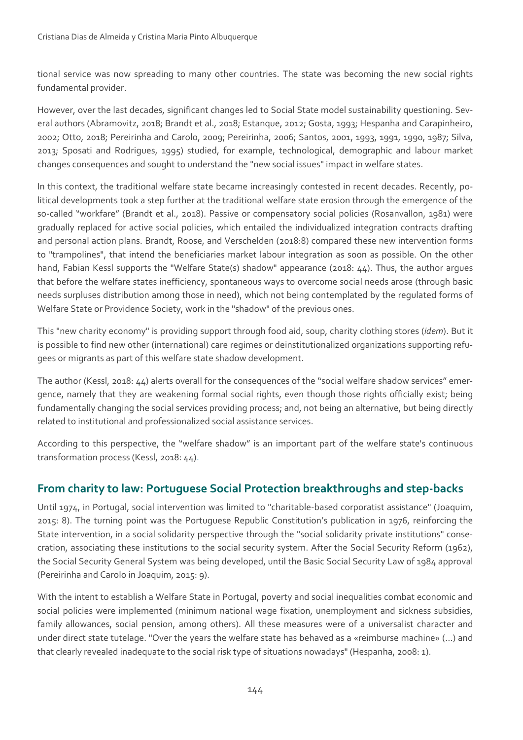tional service was now spreading to many other countries. The state was becoming the new social rights fundamental provider.

However, over the last decades, significant changes led to Social State model sustainability questioning. Several authors (Abramovitz, 2018; Brandt et al., 2018; Estanque, 2012; Gosta, 1993; Hespanha and Carapinheiro, 2002; Otto, 2018; Pereirinha and Carolo, 2009; Pereirinha, 2006; Santos, 2001, 1993, 1991, 1990, 1987; Silva, 2013; Sposati and Rodrigues, 1995) studied, for example, technological, demographic and labour market changes consequences and sought to understand the "new social issues" impact in welfare states.

In this context, the traditional welfare state became increasingly contested in recent decades. Recently, political developments took a step further at the traditional welfare state erosion through the emergence of the so-called "workfare" (Brandt et al., 2018). Passive or compensatory social policies (Rosanvallon, 1981) were gradually replaced for active social policies, which entailed the individualized integration contracts drafting and personal action plans. Brandt, Roose, and Verschelden (2018:8) compared these new intervention forms to "trampolines", that intend the beneficiaries market labour integration as soon as possible. On the other hand, Fabian Kessl supports the "Welfare State(s) shadow" appearance (2018: 44). Thus, the author argues that before the welfare states inefficiency, spontaneous ways to overcome social needs arose (through basic needs surpluses distribution among those in need), which not being contemplated by the regulated forms of Welfare State or Providence Society, work in the "shadow" of the previous ones.

This "new charity economy" is providing support through food aid, soup, charity clothing stores (*idem*). But it is possible to find new other (international) care regimes or deinstitutionalized organizations supporting refugees or migrants as part of this welfare state shadow development.

The author (Kessl, 2018: 44) alerts overall for the consequences of the "social welfare shadow services" emer‐ gence, namely that they are weakening formal social rights, even though those rights officially exist; being fundamentally changing the social services providing process; and, not being an alternative, but being directly related to institutional and professionalized social assistance services.

According to this perspective, the "welfare shadow" is an important part of the welfare state's continuous transformation process (Kessl, 2018: 44).

## **From charity to law: Portuguese Social Protection breakthroughs and step‐backs**

Until 1974, in Portugal, social intervention was limited to "charitable‐based corporatist assistance" (Joaquim, 2015: 8). The turning point was the Portuguese Republic Constitution's publication in 1976, reinforcing the State intervention, in a social solidarity perspective through the "social solidarity private institutions" conse‐ cration, associating these institutions to the social security system. After the Social Security Reform (1962), the Social Security General System was being developed, until the Basic Social Security Law of 1984 approval (Pereirinha and Carolo in Joaquim, 2015: 9).

With the intent to establish a Welfare State in Portugal, poverty and social inequalities combat economic and social policies were implemented (minimum national wage fixation, unemployment and sickness subsidies, family allowances, social pension, among others). All these measures were of a universalist character and under direct state tutelage. "Over the years the welfare state has behaved as a «reimburse machine» (...) and that clearly revealed inadequate to the social risk type of situations nowadays" (Hespanha, 2008: 1).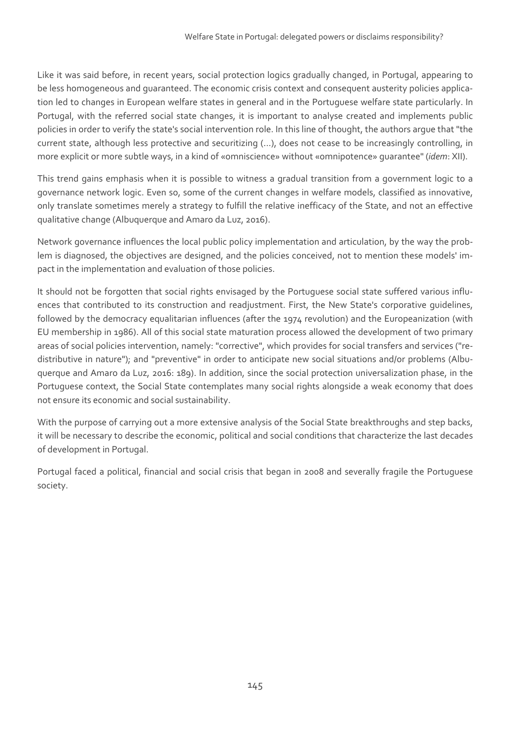Like it was said before, in recent years, social protection logics gradually changed, in Portugal, appearing to be less homogeneous and guaranteed. The economic crisis context and consequent austerity policies application led to changes in European welfare states in general and in the Portuguese welfare state particularly. In Portugal, with the referred social state changes, it is important to analyse created and implements public policies in order to verify the state's social intervention role. In this line of thought, the authors argue that "the current state, although less protective and securitizing (...), does not cease to be increasingly controlling, in more explicit or more subtle ways, in a kind of «omniscience» without «omnipotence» guarantee" (*idem*: XII).

This trend gains emphasis when it is possible to witness a gradual transition from a government logic to a governance network logic. Even so, some of the current changes in welfare models, classified as innovative, only translate sometimes merely a strategy to fulfill the relative inefficacy of the State, and not an effective qualitative change (Albuquerque and Amaro da Luz, 2016).

Network governance influences the local public policy implementation and articulation, by the way the prob‐ lem is diagnosed, the objectives are designed, and the policies conceived, not to mention these models' impact in the implementation and evaluation of those policies.

It should not be forgotten that social rights envisaged by the Portuguese social state suffered various influ‐ ences that contributed to its construction and readjustment. First, the New State's corporative guidelines, followed by the democracy equalitarian influences (after the 1974 revolution) and the Europeanization (with EU membership in 1986). All of this social state maturation process allowed the development of two primary areas of social policies intervention, namely: "corrective", which provides for social transfers and services ("re‐ distributive in nature"); and "preventive" in order to anticipate new social situations and/or problems (Albu‐ querque and Amaro da Luz, 2016: 189). In addition, since the social protection universalization phase, in the Portuguese context, the Social State contemplates many social rights alongside a weak economy that does not ensure its economic and social sustainability.

With the purpose of carrying out a more extensive analysis of the Social State breakthroughs and step backs, it will be necessary to describe the economic, political and social conditions that characterize the last decades of development in Portugal.

Portugal faced a political, financial and social crisis that began in 2008 and severally fragile the Portuguese society.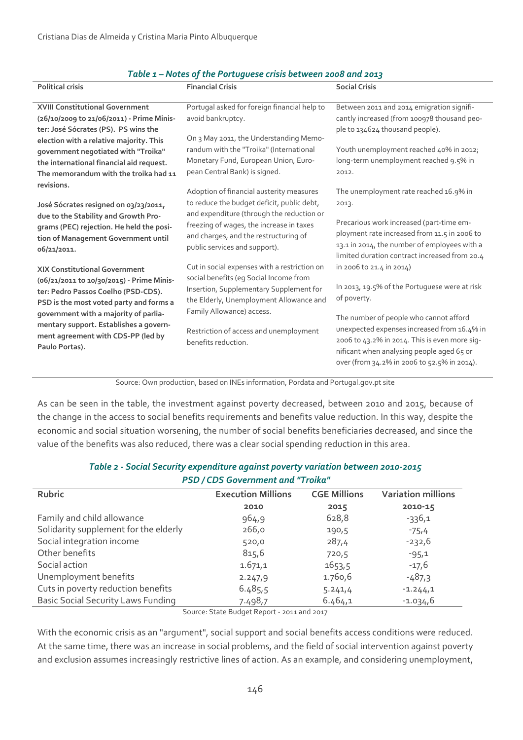| <b>Political crisis</b>                   | <b>Financial Crisis</b>                      | <b>Social Crisis</b>                          |
|-------------------------------------------|----------------------------------------------|-----------------------------------------------|
| <b>XVIII Constitutional Government</b>    | Portugal asked for foreign financial help to | Between 2011 and 2014 emigration signifi-     |
| (26/10/2009 to 21/06/2011) - Prime Minis- | avoid bankruptcy.                            | cantly increased (from 100978 thousand peo-   |
| ter: José Sócrates (PS). PS wins the      |                                              | ple to 134624 thousand people).               |
| election with a relative majority. This   | On 3 May 2011, the Understanding Memo-       |                                               |
| government negotiated with "Troika"       | randum with the "Troika" (International      | Youth unemployment reached 40% in 2012;       |
| the international financial aid request.  | Monetary Fund, European Union, Euro-         | long-term unemployment reached 9.5% in        |
| The memorandum with the troika had 11     | pean Central Bank) is signed.                | 2012.                                         |
| revisions.                                |                                              |                                               |
|                                           | Adoption of financial austerity measures     | The unemployment rate reached 16.9% in        |
| José Sócrates resigned on 03/23/2011,     | to reduce the budget deficit, public debt,   | 2013.                                         |
| due to the Stability and Growth Pro-      | and expenditure (through the reduction or    |                                               |
| grams (PEC) rejection. He held the posi-  | freezing of wages, the increase in taxes     | Precarious work increased (part-time em-      |
| tion of Management Government until       | and charges, and the restructuring of        | ployment rate increased from 11.5 in 2006 to  |
| 06/21/2011.                               | public services and support).                | 13.1 in 2014, the number of employees with a  |
|                                           |                                              | limited duration contract increased from 20.4 |
| <b>XIX Constitutional Government</b>      | Cut in social expenses with a restriction on | in 2006 to 21.4 in 2014)                      |
| (06/21/2011 to 10/30/2015) - Prime Minis- | social benefits (eg Social Income from       |                                               |
| ter: Pedro Passos Coelho (PSD-CDS).       | Insertion, Supplementary Supplement for      | In 2013, 19.5% of the Portuguese were at risk |
| PSD is the most voted party and forms a   | the Elderly, Unemployment Allowance and      | of poverty.                                   |
| government with a majority of parlia-     | Family Allowance) access.                    | The number of people who cannot afford        |
| mentary support. Establishes a govern-    |                                              | unexpected expenses increased from 16.4% in   |
| ment agreement with CDS-PP (led by        | Restriction of access and unemployment       | 2006 to 43.2% in 2014. This is even more sig- |
| Paulo Portas).                            | benefits reduction.                          | nificant when analysing people aged 65 or     |
|                                           |                                              | over (from 34.2% in 2006 to 52.5% in 2014).   |
|                                           |                                              |                                               |

#### *Table 1 – Notes of the Portuguese crisis between 2008 and 2013*

Source: Own production, based on INEs information, Pordata and Portugal.gov.pt site

As can be seen in the table, the investment against poverty decreased, between 2010 and 2015, because of the change in the access to social benefits requirements and benefits value reduction. In this way, despite the economic and social situation worsening, the number of social benefits beneficiaries decreased, and since the value of the benefits was also reduced, there was a clear social spending reduction in this area.

| PSD / CDS Government and "Troika"         |                           |                     |                           |  |
|-------------------------------------------|---------------------------|---------------------|---------------------------|--|
| <b>Rubric</b>                             | <b>Execution Millions</b> | <b>CGE Millions</b> | <b>Variation millions</b> |  |
|                                           | 2010                      | 2015                | 2010-15                   |  |
| Family and child allowance                | 964,9                     | 628,8               | $-336,1$                  |  |
| Solidarity supplement for the elderly     | 266,0                     | 190,5               | $-75,4$                   |  |
| Social integration income                 | 520,0                     | 287,4               | $-232,6$                  |  |
| Other benefits                            | 815,6                     | 720,5               | $-95,1$                   |  |
| Social action                             | 1.671,1                   | 1653,5              | $-17,6$                   |  |
| Unemployment benefits                     | 2.247,9                   | 1.760,6             | $-487.3$                  |  |
| Cuts in poverty reduction benefits        | 6.485.5                   | 5.241,4             | $-1.244,1$                |  |
| <b>Basic Social Security Laws Funding</b> | 7.498,7                   | 6.464,1             | $-1.034,6$                |  |
|                                           |                           |                     |                           |  |

#### *Table 2 ‐ Social Security expenditure against poverty variation between 2010‐2015 PSD / CDS Government and "Troika"*

Source: State Budget Report ‐ 2011 and 2017

With the economic crisis as an "argument", social support and social benefits access conditions were reduced. At the same time, there was an increase in social problems, and the field of social intervention against poverty and exclusion assumes increasingly restrictive lines of action. As an example, and considering unemployment,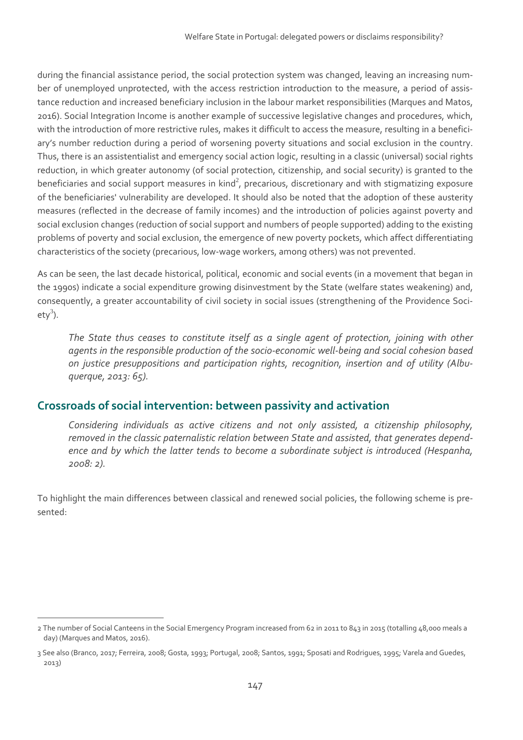during the financial assistance period, the social protection system was changed, leaving an increasing num‐ ber of unemployed unprotected, with the access restriction introduction to the measure, a period of assistance reduction and increased beneficiary inclusion in the labour market responsibilities (Marques and Matos, 2016). Social Integration Income is another example of successive legislative changes and procedures, which, with the introduction of more restrictive rules, makes it difficult to access the measure, resulting in a beneficiary's number reduction during a period of worsening poverty situations and social exclusion in the country. Thus, there is an assistentialist and emergency social action logic, resulting in a classic (universal) social rights reduction, in which greater autonomy (of social protection, citizenship, and social security) is granted to the beneficiaries and social support measures in kind<sup>2</sup>, precarious, discretionary and with stigmatizing exposure of the beneficiaries' vulnerability are developed. It should also be noted that the adoption of these austerity measures (reflected in the decrease of family incomes) and the introduction of policies against poverty and social exclusion changes (reduction of social support and numbers of people supported) adding to the existing problems of poverty and social exclusion, the emergence of new poverty pockets, which affect differentiating characteristics of the society (precarious, low‐wage workers, among others) was not prevented.

As can be seen, the last decade historical, political, economic and social events (in a movement that began in the 1990s) indicate a social expenditure growing disinvestment by the State (welfare states weakening) and, consequently, a greater accountability of civil society in social issues (strengthening of the Providence Soci‐ ety<sup>3</sup>).

*The State thus ceases to constitute itself as a single agent of protection, joining with other agents in the responsible production of the socio‐economic well‐being and social cohesion based on justice presuppositions and participation rights, recognition, insertion and of utility (Albu‐ querque, 2013: 65).*

### **Crossroads of social intervention: between passivity and activation**

*Considering individuals as active citizens and not only assisted, a citizenship philosophy, removed in the classic paternalistic relation between State and assisted, that generates depend‐ ence and by which the latter tends to become a subordinate subject is introduced (Hespanha, 2008: 2).*

To highlight the main differences between classical and renewed social policies, the following scheme is pre‐ sented:

<sup>2</sup> The number of Social Canteens in the Social Emergency Program increased from 62 in 2011 to 843 in 2015 (totalling 48,000 meals a day) (Marques and Matos, 2016).

<sup>3</sup> See also (Branco, 2017; Ferreira, 2008; Gosta, 1993; Portugal, 2008; Santos, 1991; Sposati and Rodrigues, 1995; Varela and Guedes, 2013)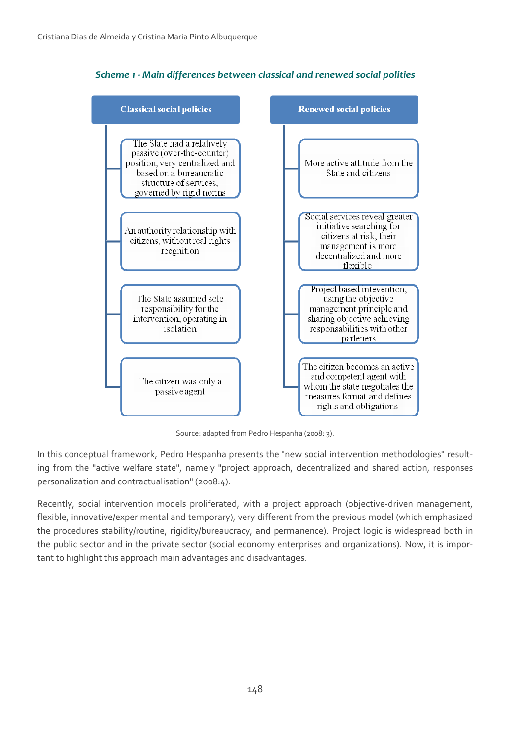

*Scheme 1 ‐ Main differences between classical and renewed social polities*

Source: adapted from Pedro Hespanha (2008: 3).

In this conceptual framework, Pedro Hespanha presents the "new social intervention methodologies" resulting from the "active welfare state", namely "project approach, decentralized and shared action, responses personalization and contractualisation" (2008:4).

Recently, social intervention models proliferated, with a project approach (objective-driven management, flexible, innovative/experimental and temporary), very different from the previous model (which emphasized the procedures stability/routine, rigidity/bureaucracy, and permanence). Project logic is widespread both in the public sector and in the private sector (social economy enterprises and organizations). Now, it is important to highlight this approach main advantages and disadvantages.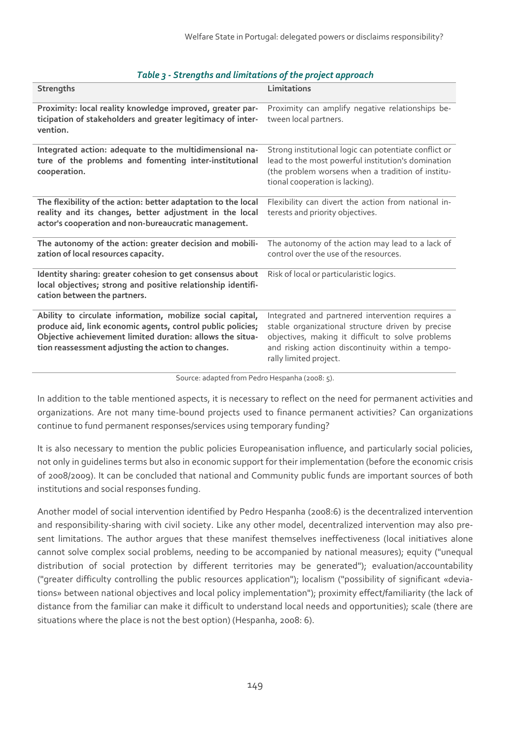| <b>Strengths</b>                                                                                                                                                                                                                             | Limitations                                                                                                                                                                                                                              |
|----------------------------------------------------------------------------------------------------------------------------------------------------------------------------------------------------------------------------------------------|------------------------------------------------------------------------------------------------------------------------------------------------------------------------------------------------------------------------------------------|
| Proximity: local reality knowledge improved, greater par-<br>ticipation of stakeholders and greater legitimacy of inter-<br>vention.                                                                                                         | Proximity can amplify negative relationships be-<br>tween local partners.                                                                                                                                                                |
| Integrated action: adequate to the multidimensional na-<br>ture of the problems and fomenting inter-institutional<br>cooperation.                                                                                                            | Strong institutional logic can potentiate conflict or<br>lead to the most powerful institution's domination<br>(the problem worsens when a tradition of institu-<br>tional cooperation is lacking).                                      |
| The flexibility of the action: better adaptation to the local<br>reality and its changes, better adjustment in the local<br>actor's cooperation and non-bureaucratic management.                                                             | Flexibility can divert the action from national in-<br>terests and priority objectives.                                                                                                                                                  |
| The autonomy of the action: greater decision and mobili-<br>zation of local resources capacity.                                                                                                                                              | The autonomy of the action may lead to a lack of<br>control over the use of the resources.                                                                                                                                               |
| Identity sharing: greater cohesion to get consensus about<br>local objectives; strong and positive relationship identifi-<br>cation between the partners.                                                                                    | Risk of local or particularistic logics.                                                                                                                                                                                                 |
| Ability to circulate information, mobilize social capital,<br>produce aid, link economic agents, control public policies;<br>Objective achievement limited duration: allows the situa-<br>tion reassessment adjusting the action to changes. | Integrated and partnered intervention requires a<br>stable organizational structure driven by precise<br>objectives, making it difficult to solve problems<br>and risking action discontinuity within a tempo-<br>rally limited project. |

#### *Table 3 ‐ Strengths and limitations of the project approach*

Source: adapted from Pedro Hespanha (2008: 5).

In addition to the table mentioned aspects, it is necessary to reflect on the need for permanent activities and organizations. Are not many time‐bound projects used to finance permanent activities? Can organizations continue to fund permanent responses/services using temporary funding?

It is also necessary to mention the public policies Europeanisation influence, and particularly social policies, not only in guidelines terms but also in economic support for their implementation (before the economic crisis of 2008/2009). It can be concluded that national and Community public funds are important sources of both institutions and social responses funding.

Another model of social intervention identified by Pedro Hespanha (2008:6) is the decentralized intervention and responsibility-sharing with civil society. Like any other model, decentralized intervention may also present limitations. The author argues that these manifest themselves ineffectiveness (local initiatives alone cannot solve complex social problems, needing to be accompanied by national measures); equity ("unequal distribution of social protection by different territories may be generated"); evaluation/accountability ("greater difficulty controlling the public resources application"); localism ("possibility of significant «devia‐ tions» between national objectives and local policy implementation"); proximity effect/familiarity (the lack of distance from the familiar can make it difficult to understand local needs and opportunities); scale (there are situations where the place is not the best option) (Hespanha, 2008: 6).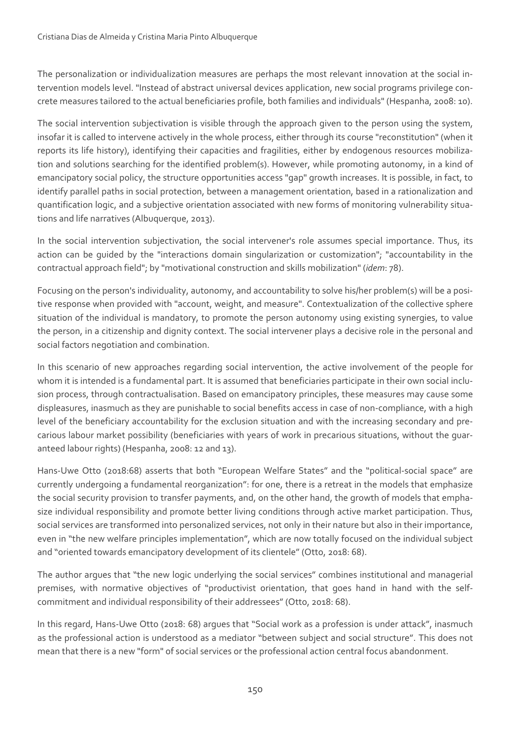The personalization or individualization measures are perhaps the most relevant innovation at the social in‐ tervention models level. "Instead of abstract universal devices application, new social programs privilege con‐ crete measures tailored to the actual beneficiaries profile, both families and individuals" (Hespanha, 2008: 10).

The social intervention subjectivation is visible through the approach given to the person using the system, insofar it is called to intervene actively in the whole process, either through its course "reconstitution" (when it reports its life history), identifying their capacities and fragilities, either by endogenous resources mobilization and solutions searching for the identified problem(s). However, while promoting autonomy, in a kind of emancipatory social policy, the structure opportunities access "gap" growth increases. It is possible, in fact, to identify parallel paths in social protection, between a management orientation, based in a rationalization and quantification logic, and a subjective orientation associated with new forms of monitoring vulnerability situa‐ tions and life narratives (Albuquerque, 2013).

In the social intervention subjectivation, the social intervener's role assumes special importance. Thus, its action can be guided by the "interactions domain singularization or customization"; "accountability in the contractual approach field"; by "motivational construction and skills mobilization" (*idem*: 78).

Focusing on the person's individuality, autonomy, and accountability to solve his/her problem(s) will be a positive response when provided with "account, weight, and measure". Contextualization of the collective sphere situation of the individual is mandatory, to promote the person autonomy using existing synergies, to value the person, in a citizenship and dignity context. The social intervener plays a decisive role in the personal and social factors negotiation and combination.

In this scenario of new approaches regarding social intervention, the active involvement of the people for whom it is intended is a fundamental part. It is assumed that beneficiaries participate in their own social inclusion process, through contractualisation. Based on emancipatory principles, these measures may cause some displeasures, inasmuch as they are punishable to social benefits access in case of non‐compliance, with a high level of the beneficiary accountability for the exclusion situation and with the increasing secondary and pre‐ carious labour market possibility (beneficiaries with years of work in precarious situations, without the guar‐ anteed labour rights) (Hespanha, 2008: 12 and 13).

Hans-Uwe Otto (2018:68) asserts that both "European Welfare States" and the "political-social space" are currently undergoing a fundamental reorganization": for one, there is a retreat in the models that emphasize the social security provision to transfer payments, and, on the other hand, the growth of models that emphasize individual responsibility and promote better living conditions through active market participation. Thus, social services are transformed into personalized services, not only in their nature but also in their importance, even in "the new welfare principles implementation", which are now totally focused on the individual subject and "oriented towards emancipatory development of its clientele" (Otto, 2018: 68).

The author argues that "the new logic underlying the social services" combines institutional and managerial premises, with normative objectives of "productivist orientation, that goes hand in hand with the selfcommitment and individual responsibility of their addressees"(Otto, 2018: 68).

In this regard, Hans-Uwe Otto (2018: 68) argues that "Social work as a profession is under attack", inasmuch as the professional action is understood as a mediator "between subject and social structure". This does not mean that there is a new "form" of social services or the professional action central focus abandonment.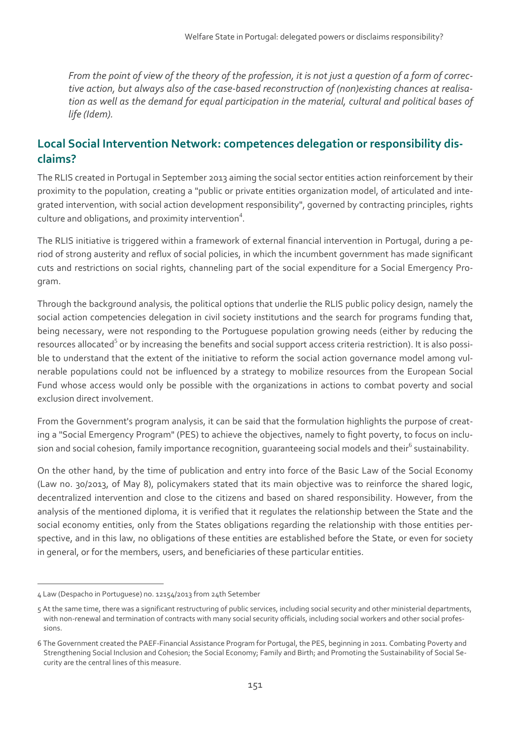From the point of view of the theory of the profession, it is not just a question of a form of correc*tive action, but always also of the case‐based reconstruction of (non)existing chances at realisa‐ tion as well as the demand for equal participation in the material, cultural and political bases of life (Idem).*

## **Local Social Intervention Network: competences delegation or responsibility dis‐ claims?**

The RLIS created in Portugal in September 2013 aiming the social sector entities action reinforcement by their proximity to the population, creating a "public or private entities organization model, of articulated and inte‐ grated intervention, with social action development responsibility", governed by contracting principles, rights culture and obligations, and proximity intervention $^4$ .

The RLIS initiative is triggered within a framework of external financial intervention in Portugal, during a pe‐ riod of strong austerity and reflux of social policies, in which the incumbent government has made significant cuts and restrictions on social rights, channeling part of the social expenditure for a Social Emergency Program.

Through the background analysis, the political options that underlie the RLIS public policy design, namely the social action competencies delegation in civil society institutions and the search for programs funding that, being necessary, were not responding to the Portuguese population growing needs (either by reducing the resources allocated<sup>5</sup> or by increasing the benefits and social support access criteria restriction). It is also possible to understand that the extent of the initiative to reform the social action governance model among vulnerable populations could not be influenced by a strategy to mobilize resources from the European Social Fund whose access would only be possible with the organizations in actions to combat poverty and social exclusion direct involvement.

From the Government's program analysis, it can be said that the formulation highlights the purpose of creating a "Social Emergency Program" (PES) to achieve the objectives, namely to fight poverty, to focus on inclusion and social cohesion, family importance recognition, quaranteeing social models and their<sup>6</sup> sustainability.

On the other hand, by the time of publication and entry into force of the Basic Law of the Social Economy (Law no. 30/2013, of May 8), policymakers stated that its main objective was to reinforce the shared logic, decentralized intervention and close to the citizens and based on shared responsibility. However, from the analysis of the mentioned diploma, it is verified that it regulates the relationship between the State and the social economy entities, only from the States obligations regarding the relationship with those entities perspective, and in this law, no obligations of these entities are established before the State, or even for society in general, or for the members, users, and beneficiaries of these particular entities.

<sup>4</sup> Law (Despacho in Portuguese) no. 12154/2013 from 24th Setember

<sup>5</sup> At the same time, there was a significant restructuring of public services, including social security and other ministerial departments, with non-renewal and termination of contracts with many social security officials, including social workers and other social professions.

<sup>6</sup> The Government created the PAEF‐Financial Assistance Program for Portugal, the PES, beginning in 2011. Combating Poverty and Strengthening Social Inclusion and Cohesion; the Social Economy; Family and Birth; and Promoting the Sustainability of Social Se‐ curity are the central lines of this measure.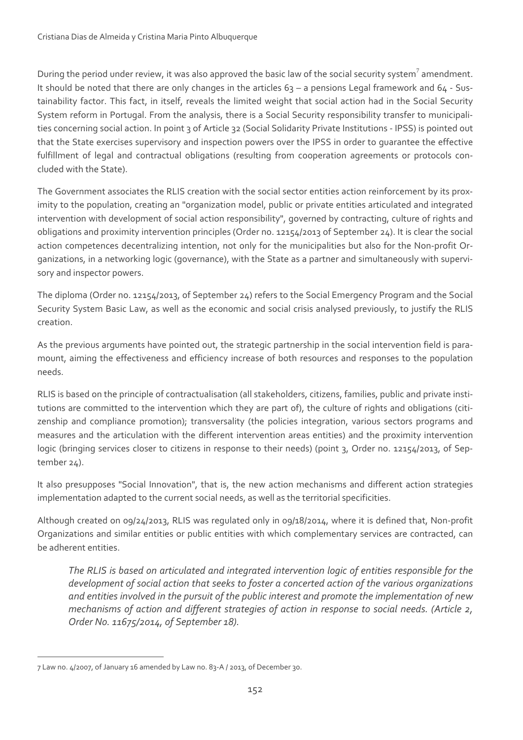During the period under review, it was also approved the basic law of the social security system<sup>7</sup> amendment. It should be noted that there are only changes in the articles 63 – a pensions Legal framework and 64 - Sustainability factor. This fact, in itself, reveals the limited weight that social action had in the Social Security System reform in Portugal. From the analysis, there is a Social Security responsibility transfer to municipali‐ ties concerning social action. In point 3 of Article 32 (Social Solidarity Private Institutions - IPSS) is pointed out that the State exercises supervisory and inspection powers over the IPSS in order to guarantee the effective fulfillment of legal and contractual obligations (resulting from cooperation agreements or protocols concluded with the State).

The Government associates the RLIS creation with the social sector entities action reinforcement by its proximity to the population, creating an "organization model, public or private entities articulated and integrated intervention with development of social action responsibility", governed by contracting, culture of rights and obligations and proximity intervention principles (Order no. 12154/2013 of September 24). It is clear the social action competences decentralizing intention, not only for the municipalities but also for the Non-profit Organizations, in a networking logic (governance), with the State as a partner and simultaneously with supervisory and inspector powers.

The diploma (Order no. 12154/2013, of September 24) refers to the Social Emergency Program and the Social Security System Basic Law, as well as the economic and social crisis analysed previously, to justify the RLIS creation.

As the previous arguments have pointed out, the strategic partnership in the social intervention field is paramount, aiming the effectiveness and efficiency increase of both resources and responses to the population needs.

RLIS is based on the principle of contractualisation (all stakeholders, citizens, families, public and private institutions are committed to the intervention which they are part of), the culture of rights and obligations (citizenship and compliance promotion); transversality (the policies integration, various sectors programs and measures and the articulation with the different intervention areas entities) and the proximity intervention logic (bringing services closer to citizens in response to their needs) (point 3, Order no. 12154/2013, of September 24).

It also presupposes "Social Innovation", that is, the new action mechanisms and different action strategies implementation adapted to the current social needs, as well as the territorial specificities.

Although created on 09/24/2013, RLIS was regulated only in 09/18/2014, where it is defined that, Non‐profit Organizations and similar entities or public entities with which complementary services are contracted, can be adherent entities.

*The RLIS is based on articulated and integrated intervention logic of entities responsible for the development of social action that seeks to foster a concerted action of the various organizations and entities involved in the pursuit of the public interest and promote the implementation of new mechanisms of action and different strategies of action in response to social needs. (Article 2, Order No. 11675/2014, of September 18).*

 7 Law no. 4/2007, of January 16 amended by Law no. 83‐A / 2013, of December 30.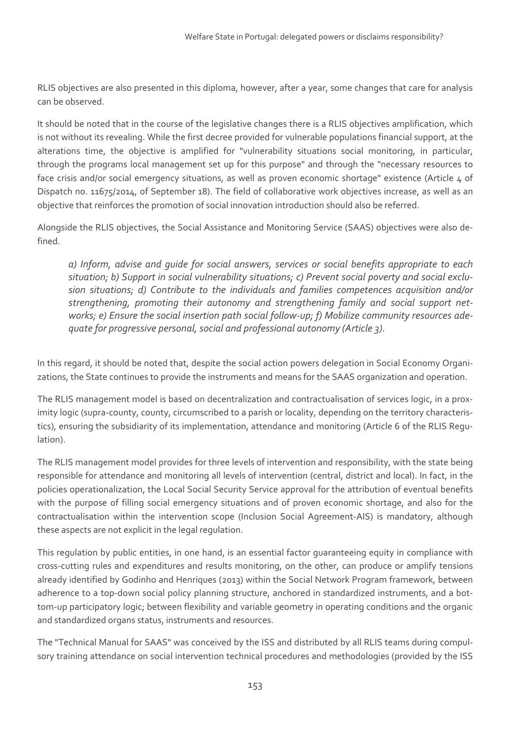RLIS objectives are also presented in this diploma, however, after a year, some changes that care for analysis can be observed.

It should be noted that in the course of the legislative changes there is a RLIS objectives amplification, which is not without its revealing. While the first decree provided for vulnerable populations financial support, at the alterations time, the objective is amplified for "vulnerability situations social monitoring, in particular, through the programs local management set up for this purpose" and through the "necessary resources to face crisis and/or social emergency situations, as well as proven economic shortage" existence (Article 4 of Dispatch no. 11675/2014, of September 18). The field of collaborative work objectives increase, as well as an objective that reinforces the promotion of social innovation introduction should also be referred.

Alongside the RLIS objectives, the Social Assistance and Monitoring Service (SAAS) objectives were also de‐ fined.

*a) Inform, advise and guide for social answers, services or social benefits appropriate to each situation; b) Support in social vulnerability situations; c) Prevent social poverty and social exclu‐ sion situations; d) Contribute to the individuals and families competences acquisition and/or strengthening, promoting their autonomy and strengthening family and social support net‐ works; e) Ensure the social insertion path social follow‐up; f) Mobilize community resources ade‐ quate for progressive personal, social and professional autonomy (Article 3).*

In this regard, it should be noted that, despite the social action powers delegation in Social Economy Organizations, the State continues to provide the instruments and means for the SAAS organization and operation.

The RLIS management model is based on decentralization and contractualisation of services logic, in a prox‐ imity logic (supra-county, county, circumscribed to a parish or locality, depending on the territory characteristics), ensuring the subsidiarity of its implementation, attendance and monitoring (Article 6 of the RLIS Regulation).

The RLIS management model provides for three levels of intervention and responsibility, with the state being responsible for attendance and monitoring all levels of intervention (central, district and local). In fact, in the policies operationalization, the Local Social Security Service approval for the attribution of eventual benefits with the purpose of filling social emergency situations and of proven economic shortage, and also for the contractualisation within the intervention scope (Inclusion Social Agreement‐AIS) is mandatory, although these aspects are not explicit in the legal regulation.

This regulation by public entities, in one hand, is an essential factor guaranteeing equity in compliance with cross‐cutting rules and expenditures and results monitoring, on the other, can produce or amplify tensions already identified by Godinho and Henriques (2013) within the Social Network Program framework, between adherence to a top-down social policy planning structure, anchored in standardized instruments, and a bottom-up participatory logic; between flexibility and variable geometry in operating conditions and the organic and standardized organs status, instruments and resources.

The "Technical Manual for SAAS" was conceived by the ISS and distributed by all RLIS teams during compul‐ sory training attendance on social intervention technical procedures and methodologies (provided by the ISS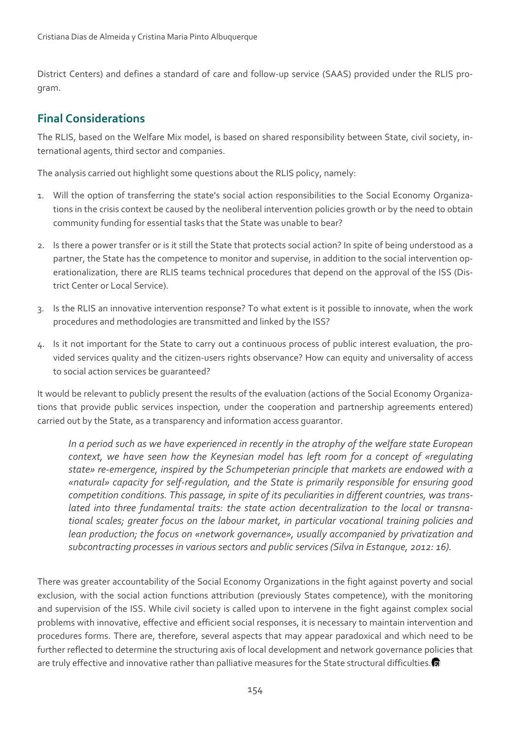District Centers) and defines a standard of care and follow-up service (SAAS) provided under the RLIS program.

## **Final Considerations**

The RLIS, based on the Welfare Mix model, is based on shared responsibility between State, civil society, international agents, third sector and companies.

The analysis carried out highlight some questions about the RLIS policy, namely:

- 1. Will the option of transferring the state's social action responsibilities to the Social Economy Organiza‐ tions in the crisis context be caused by the neoliberal intervention policies growth or by the need to obtain community funding for essential tasks that the State was unable to bear?
- 2. Is there a power transfer or is it still the State that protects social action? In spite of being understood as a partner, the State has the competence to monitor and supervise, in addition to the social intervention operationalization, there are RLIS teams technical procedures that depend on the approval of the ISS (Dis‐ trict Center or Local Service).
- 3. Is the RLIS an innovative intervention response? To what extent is it possible to innovate, when the work procedures and methodologies are transmitted and linked by the ISS?
- 4. Is it not important for the State to carry out a continuous process of public interest evaluation, the provided services quality and the citizen‐users rights observance? How can equity and universality of access to social action services be guaranteed?

It would be relevant to publicly present the results of the evaluation (actions of the Social Economy Organizations that provide public services inspection, under the cooperation and partnership agreements entered) carried out by the State, as a transparency and information access guarantor.

*In a period such as we have experienced in recently in the atrophy of the welfare state European context, we have seen how the Keynesian model has left room for a concept of «regulating state» re‐emergence, inspired by the Schumpeterian principle that markets are endowed with a «natural» capacity for self‐regulation, and the State is primarily responsible for ensuring good competition conditions. This passage, in spite of its peculiarities in different countries, was trans‐ lated into three fundamental traits: the state action decentralization to the local or transna‐ tional scales; greater focus on the labour market, in particular vocational training policies and lean production; the focus on «network governance», usually accompanied by privatization and subcontracting processesin varioussectors and public services(Silva in Estanque, 2012: 16).*

There was greater accountability of the Social Economy Organizations in the fight against poverty and social exclusion, with the social action functions attribution (previously States competence), with the monitoring and supervision of the ISS. While civil society is called upon to intervene in the fight against complex social problems with innovative, effective and efficient social responses, it is necessary to maintain intervention and procedures forms. There are, therefore, several aspects that may appear paradoxical and which need to be further reflected to determine the structuring axis of local development and network governance policies that are truly effective and innovative rather than palliative measures for the State structural difficulties.<sup>3</sup>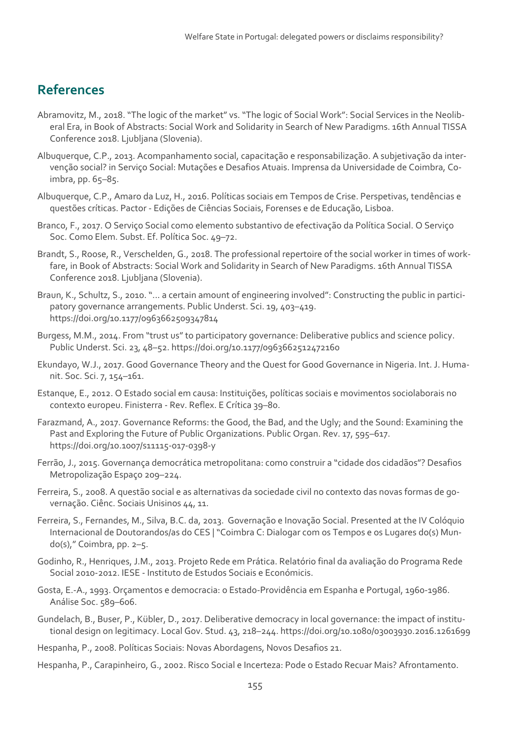# **References**

- Abramovitz, M., 2018. "The logic of the market" vs. "The logic of Social Work": Social Services in the Neolib‐ eral Era, in Book of Abstracts: Social Work and Solidarity in Search of New Paradigms. 16th Annual TISSA Conference 2018. Ljubljana (Slovenia).
- Albuquerque, C.P., 2013. Acompanhamento social, capacitação e responsabilização. A subjetivação da inter‐ venção social? in Serviço Social: Mutações e Desafios Atuais. Imprensa da Universidade de Coimbra, Co‐ imbra, pp. 65–85.
- Albuquerque, C.P., Amaro da Luz, H., 2016. Políticas sociais em Tempos de Crise. Perspetivas, tendências e questões críticas. Pactor ‐ Edições de Ciências Sociais, Forenses e de Educação, Lisboa.
- Branco, F., 2017. O Serviço Social como elemento substantivo de efectivação da Política Social. O Serviço Soc. Como Elem. Subst. Ef. Política Soc. 49–72.
- Brandt, S., Roose, R., Verschelden, G., 2018. The professional repertoire of the social worker in times of work‐ fare, in Book of Abstracts: Social Work and Solidarity in Search of New Paradigms. 16th Annual TISSA Conference 2018. Ljubljana (Slovenia).
- Braun, K., Schultz, S., 2010. "... a certain amount of engineering involved": Constructing the public in participatory governance arrangements. Public Underst. Sci. 19, 403–419. https://doi.org/10.1177/0963662509347814
- Burgess, M.M., 2014. From "trust us" to participatory governance: Deliberative publics and science policy. Public Underst. Sci. 23, 48–52. https://doi.org/10.1177/0963662512472160
- Ekundayo, W.J., 2017. Good Governance Theory and the Quest for Good Governance in Nigeria. Int. J. Humanit. Soc. Sci. 7, 154–161.
- Estanque, E., 2012. O Estado social em causa: Instituições, políticas sociais e movimentos sociolaborais no contexto europeu. Finisterra ‐ Rev. Reflex. E Crítica 39–80.
- Farazmand, A., 2017. Governance Reforms: the Good, the Bad, and the Ugly; and the Sound: Examining the Past and Exploring the Future of Public Organizations. Public Organ. Rev. 17, 595–617. https://doi.org/10.1007/s11115‐017‐0398‐y
- Ferrão, J., 2015. Governança democrática metropolitana: como construir a "cidade dos cidadãos"? Desafios Metropolização Espaço 209–224.
- Ferreira, S., 2008. A questão social e as alternativas da sociedade civil no contexto das novas formas de governação. Ciênc. Sociais Unisinos 44, 11.
- Ferreira, S., Fernandes, M., Silva, B.C. da, 2013. Governação e Inovação Social. Presented at the IV Colóquio Internacional de Doutorandos/as do CES | "Coimbra C: Dialogar com os Tempos e os Lugares do(s) Mun‐ do(s)," Coimbra, pp. 2–5.
- Godinho, R., Henriques, J.M., 2013. Projeto Rede em Prática. Relatório final da avaliação do Programa Rede Social 2010‐2012. IESE ‐ Instituto de Estudos Sociais e Económicis.
- Gosta, E.‐A., 1993. Orçamentos e democracia: o Estado‐Providência em Espanha e Portugal, 1960‐1986. Análise Soc. 589–606.
- Gundelach, B., Buser, P., Kübler, D., 2017. Deliberative democracy in local governance: the impact of institutional design on legitimacy. Local Gov. Stud. 43, 218–244. https://doi.org/10.1080/03003930.2016.1261699
- Hespanha, P., 2008. Políticas Sociais: Novas Abordagens, Novos Desafios 21.
- Hespanha, P., Carapinheiro, G., 2002. Risco Social e Incerteza: Pode o Estado Recuar Mais? Afrontamento.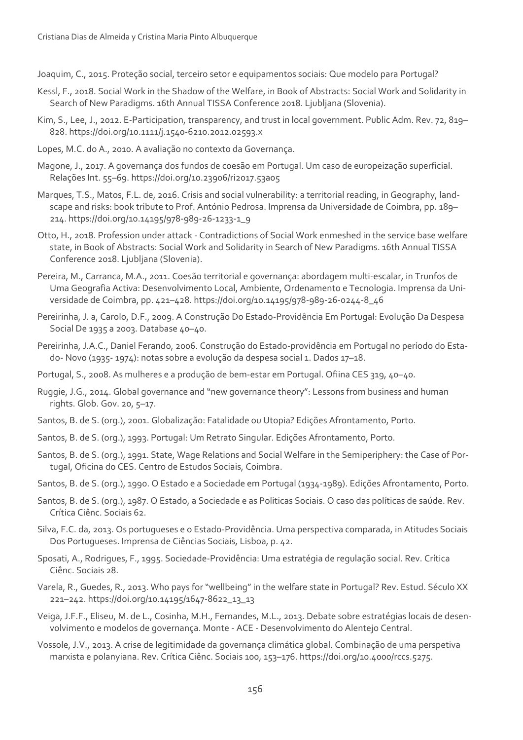Joaquim, C., 2015. Proteção social, terceiro setor e equipamentos sociais: Que modelo para Portugal?

- Kessl, F., 2018. Social Work in the Shadow of the Welfare, in Book of Abstracts: Social Work and Solidarity in Search of New Paradigms. 16th Annual TISSA Conference 2018. Ljubljana (Slovenia).
- Kim, S., Lee, J., 2012. E‐Participation, transparency, and trust in local government. Public Adm. Rev. 72, 819– 828. https://doi.org/10.1111/j.1540‐6210.2012.02593.x
- Lopes, M.C. do A., 2010. A avaliação no contexto da Governança.
- Magone, J., 2017. A governança dos fundos de coesão em Portugal. Um caso de europeização superficial. Relações Int. 55–69. https://doi.org/10.23906/ri2017.53a05
- Marques, T.S., Matos, F.L. de, 2016. Crisis and social vulnerability: a territorial reading, in Geography, land‐ scape and risks: book tribute to Prof. António Pedrosa. Imprensa da Universidade de Coimbra, pp. 189– 214. https://doi.org/10.14195/978‐989‐26‐1233‐1\_9
- Otto, H., 2018. Profession under attack ‐ Contradictions of Social Work enmeshed in the service base welfare state, in Book of Abstracts: Social Work and Solidarity in Search of New Paradigms. 16th Annual TISSA Conference 2018. Ljubljana (Slovenia).
- Pereira, M., Carranca, M.A., 2011. Coesão territorial e governança: abordagem multi‐escalar, in Trunfos de Uma Geografia Activa: Desenvolvimento Local, Ambiente, Ordenamento e Tecnologia. Imprensa da Uni‐ versidade de Coimbra, pp. 421–428. https://doi.org/10.14195/978‐989‐26‐0244‐8\_46
- Pereirinha, J. a, Carolo, D.F., 2009. A Construção Do Estado‐Providência Em Portugal: Evolução Da Despesa Social De 1935 a 2003. Database 40–40.
- Pereirinha, J.A.C., Daniel Ferando, 2006. Construção do Estado‐providência em Portugal no período do Esta‐ do‐ Novo (1935‐ 1974): notas sobre a evolução da despesa social 1. Dados 17–18.
- Portugal, S., 2008. As mulheres e a produção de bem‐estar em Portugal. Ofiina CES 319, 40–40.
- Ruggie, J.G., 2014. Global governance and "new governance theory": Lessons from business and human rights. Glob. Gov. 20, 5–17.
- Santos, B. de S. (org.), 2001. Globalização: Fatalidade ou Utopia? Edições Afrontamento, Porto.
- Santos, B. de S. (org.), 1993. Portugal: Um Retrato Singular. Edições Afrontamento, Porto.
- Santos, B. de S. (org.), 1991. State, Wage Relations and Social Welfare in the Semiperiphery: the Case of Por‐ tugal, Oficina do CES. Centro de Estudos Sociais, Coimbra.
- Santos, B. de S. (org.), 1990. O Estado e a Sociedade em Portugal (1934‐1989). Edições Afrontamento, Porto.
- Santos, B. de S. (org.), 1987. O Estado, a Sociedade e as Politicas Sociais. O caso das políticas de saúde. Rev. Crítica Ciênc. Sociais 62.
- Silva, F.C. da, 2013. Os portugueses e o Estado‐Providência. Uma perspectiva comparada, in Atitudes Sociais Dos Portugueses. Imprensa de Ciências Sociais, Lisboa, p. 42.
- Sposati, A., Rodrigues, F., 1995. Sociedade‐Providência: Uma estratégia de regulação social. Rev. Crítica Ciênc. Sociais 28.
- Varela, R., Guedes, R., 2013. Who pays for "wellbeing" in the welfare state in Portugal? Rev. Estud. Século XX 221–242. https://doi.org/10.14195/1647‐8622\_13\_13
- Veiga, J.F.F., Eliseu, M. de L., Cosinha, M.H., Fernandes, M.L., 2013. Debate sobre estratégias locais de desen‐ volvimento e modelos de governança. Monte ‐ ACE ‐ Desenvolvimento do Alentejo Central.
- Vossole, J.V., 2013. A crise de legitimidade da governança climática global. Combinação de uma perspetiva marxista e polanyiana. Rev. Crítica Ciênc. Sociais 100, 153–176. https://doi.org/10.4000/rccs.5275.